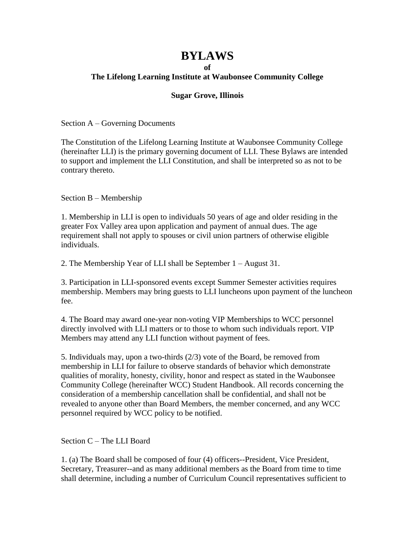## **BYLAWS**

## **of**

## **The Lifelong Learning Institute at Waubonsee Community College**

## **Sugar Grove, Illinois**

Section A – Governing Documents

The Constitution of the Lifelong Learning Institute at Waubonsee Community College (hereinafter LLI) is the primary governing document of LLI. These Bylaws are intended to support and implement the LLI Constitution, and shall be interpreted so as not to be contrary thereto.

Section B – Membership

1. Membership in LLI is open to individuals 50 years of age and older residing in the greater Fox Valley area upon application and payment of annual dues. The age requirement shall not apply to spouses or civil union partners of otherwise eligible individuals.

2. The Membership Year of LLI shall be September 1 – August 31.

3. Participation in LLI-sponsored events except Summer Semester activities requires membership. Members may bring guests to LLI luncheons upon payment of the luncheon fee.

4. The Board may award one-year non-voting VIP Memberships to WCC personnel directly involved with LLI matters or to those to whom such individuals report. VIP Members may attend any LLI function without payment of fees.

5. Individuals may, upon a two-thirds (2/3) vote of the Board, be removed from membership in LLI for failure to observe standards of behavior which demonstrate qualities of morality, honesty, civility, honor and respect as stated in the Waubonsee Community College (hereinafter WCC) Student Handbook. All records concerning the consideration of a membership cancellation shall be confidential, and shall not be revealed to anyone other than Board Members, the member concerned, and any WCC personnel required by WCC policy to be notified.

Section C – The LLI Board

1. (a) The Board shall be composed of four (4) officers--President, Vice President, Secretary, Treasurer--and as many additional members as the Board from time to time shall determine, including a number of Curriculum Council representatives sufficient to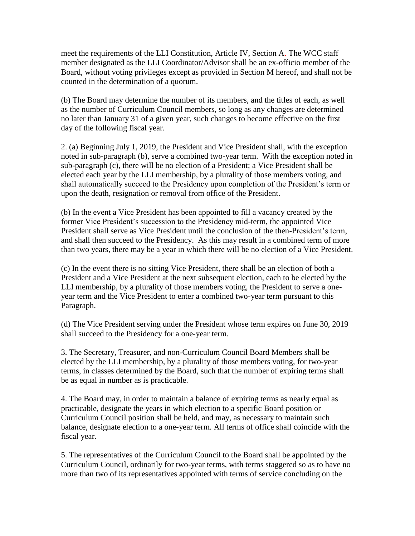meet the requirements of the LLI Constitution, Article IV, Section A. The WCC staff member designated as the LLI Coordinator/Advisor shall be an ex-officio member of the Board, without voting privileges except as provided in Section M hereof, and shall not be counted in the determination of a quorum.

(b) The Board may determine the number of its members, and the titles of each, as well as the number of Curriculum Council members, so long as any changes are determined no later than January 31 of a given year, such changes to become effective on the first day of the following fiscal year.

2. (a) Beginning July 1, 2019, the President and Vice President shall, with the exception noted in sub-paragraph (b), serve a combined two-year term. With the exception noted in sub-paragraph (c), there will be no election of a President; a Vice President shall be elected each year by the LLI membership, by a plurality of those members voting, and shall automatically succeed to the Presidency upon completion of the President's term or upon the death, resignation or removal from office of the President.

(b) In the event a Vice President has been appointed to fill a vacancy created by the former Vice President's succession to the Presidency mid-term, the appointed Vice President shall serve as Vice President until the conclusion of the then-President's term, and shall then succeed to the Presidency. As this may result in a combined term of more than two years, there may be a year in which there will be no election of a Vice President.

(c) In the event there is no sitting Vice President, there shall be an election of both a President and a Vice President at the next subsequent election, each to be elected by the LLI membership, by a plurality of those members voting, the President to serve a oneyear term and the Vice President to enter a combined two-year term pursuant to this Paragraph.

(d) The Vice President serving under the President whose term expires on June 30, 2019 shall succeed to the Presidency for a one-year term.

3. The Secretary, Treasurer, and non-Curriculum Council Board Members shall be elected by the LLI membership, by a plurality of those members voting, for two-year terms, in classes determined by the Board, such that the number of expiring terms shall be as equal in number as is practicable.

4. The Board may, in order to maintain a balance of expiring terms as nearly equal as practicable, designate the years in which election to a specific Board position or Curriculum Council position shall be held, and may, as necessary to maintain such balance, designate election to a one-year term. All terms of office shall coincide with the fiscal year.

5. The representatives of the Curriculum Council to the Board shall be appointed by the Curriculum Council, ordinarily for two-year terms, with terms staggered so as to have no more than two of its representatives appointed with terms of service concluding on the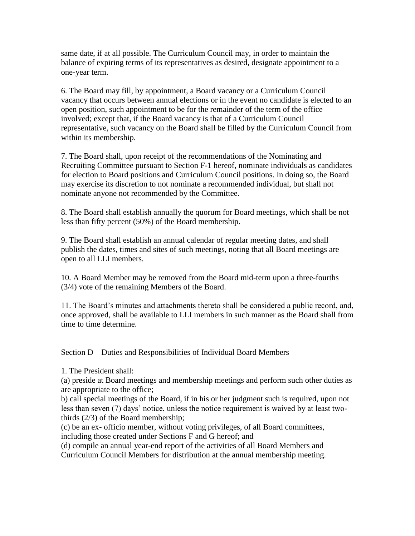same date, if at all possible. The Curriculum Council may, in order to maintain the balance of expiring terms of its representatives as desired, designate appointment to a one-year term.

6. The Board may fill, by appointment, a Board vacancy or a Curriculum Council vacancy that occurs between annual elections or in the event no candidate is elected to an open position, such appointment to be for the remainder of the term of the office involved; except that, if the Board vacancy is that of a Curriculum Council representative, such vacancy on the Board shall be filled by the Curriculum Council from within its membership.

7. The Board shall, upon receipt of the recommendations of the Nominating and Recruiting Committee pursuant to Section F-1 hereof, nominate individuals as candidates for election to Board positions and Curriculum Council positions. In doing so, the Board may exercise its discretion to not nominate a recommended individual, but shall not nominate anyone not recommended by the Committee.

8. The Board shall establish annually the quorum for Board meetings, which shall be not less than fifty percent (50%) of the Board membership.

9. The Board shall establish an annual calendar of regular meeting dates, and shall publish the dates, times and sites of such meetings, noting that all Board meetings are open to all LLI members.

10. A Board Member may be removed from the Board mid-term upon a three-fourths (3/4) vote of the remaining Members of the Board.

11. The Board's minutes and attachments thereto shall be considered a public record, and, once approved, shall be available to LLI members in such manner as the Board shall from time to time determine.

Section D – Duties and Responsibilities of Individual Board Members

1. The President shall:

(a) preside at Board meetings and membership meetings and perform such other duties as are appropriate to the office;

b) call special meetings of the Board, if in his or her judgment such is required, upon not less than seven (7) days' notice, unless the notice requirement is waived by at least twothirds (2/3) of the Board membership;

(c) be an ex- officio member, without voting privileges, of all Board committees, including those created under Sections F and G hereof; and

(d) compile an annual year-end report of the activities of all Board Members and Curriculum Council Members for distribution at the annual membership meeting.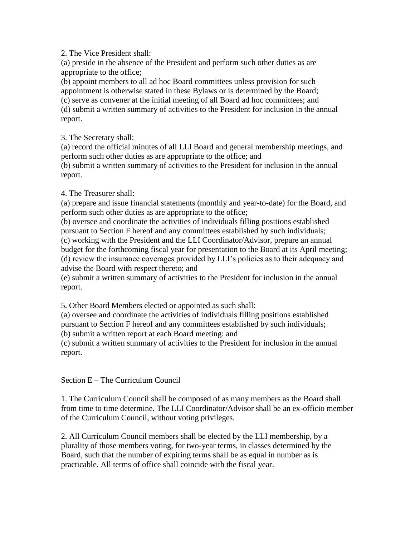2. The Vice President shall:

(a) preside in the absence of the President and perform such other duties as are appropriate to the office;

(b) appoint members to all ad hoc Board committees unless provision for such appointment is otherwise stated in these Bylaws or is determined by the Board; (c) serve as convener at the initial meeting of all Board ad hoc committees; and (d) submit a written summary of activities to the President for inclusion in the annual report.

3. The Secretary shall:

(a) record the official minutes of all LLI Board and general membership meetings, and perform such other duties as are appropriate to the office; and

(b) submit a written summary of activities to the President for inclusion in the annual report.

4. The Treasurer shall:

(a) prepare and issue financial statements (monthly and year-to-date) for the Board, and perform such other duties as are appropriate to the office;

(b) oversee and coordinate the activities of individuals filling positions established pursuant to Section F hereof and any committees established by such individuals; (c) working with the President and the LLI Coordinator/Advisor, prepare an annual budget for the forthcoming fiscal year for presentation to the Board at its April meeting; (d) review the insurance coverages provided by LLI's policies as to their adequacy and advise the Board with respect thereto; and

(e) submit a written summary of activities to the President for inclusion in the annual report.

5. Other Board Members elected or appointed as such shall:

(a) oversee and coordinate the activities of individuals filling positions established pursuant to Section F hereof and any committees established by such individuals; (b) submit a written report at each Board meeting: and

(c) submit a written summary of activities to the President for inclusion in the annual report.

Section E – The Curriculum Council

1. The Curriculum Council shall be composed of as many members as the Board shall from time to time determine. The LLI Coordinator/Advisor shall be an ex-officio member of the Curriculum Council, without voting privileges.

2. All Curriculum Council members shall be elected by the LLI membership, by a plurality of those members voting, for two-year terms, in classes determined by the Board, such that the number of expiring terms shall be as equal in number as is practicable. All terms of office shall coincide with the fiscal year.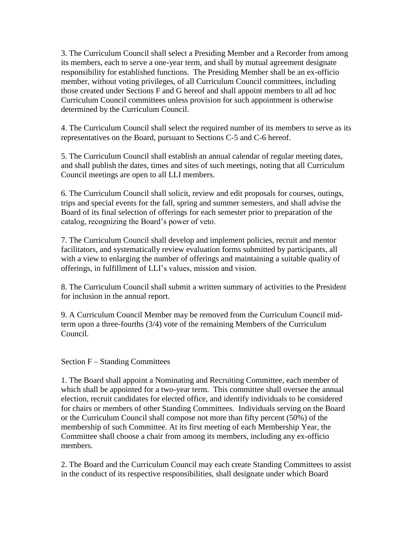3. The Curriculum Council shall select a Presiding Member and a Recorder from among its members, each to serve a one-year term, and shall by mutual agreement designate responsibility for established functions. The Presiding Member shall be an ex-officio member, without voting privileges, of all Curriculum Council committees, including those created under Sections F and G hereof and shall appoint members to all ad hoc Curriculum Council committees unless provision for such appointment is otherwise determined by the Curriculum Council.

4. The Curriculum Council shall select the required number of its members to serve as its representatives on the Board, pursuant to Sections C-5 and C-6 hereof.

5. The Curriculum Council shall establish an annual calendar of regular meeting dates, and shall publish the dates, times and sites of such meetings, noting that all Curriculum Council meetings are open to all LLI members.

6. The Curriculum Council shall solicit, review and edit proposals for courses, outings, trips and special events for the fall, spring and summer semesters, and shall advise the Board of its final selection of offerings for each semester prior to preparation of the catalog, recognizing the Board's power of veto.

7. The Curriculum Council shall develop and implement policies, recruit and mentor facilitators, and systematically review evaluation forms submitted by participants, all with a view to enlarging the number of offerings and maintaining a suitable quality of offerings, in fulfillment of LLI's values, mission and vision.

8. The Curriculum Council shall submit a written summary of activities to the President for inclusion in the annual report.

9. A Curriculum Council Member may be removed from the Curriculum Council midterm upon a three-fourths (3/4) vote of the remaining Members of the Curriculum Council.

Section F – Standing Committees

1. The Board shall appoint a Nominating and Recruiting Committee, each member of which shall be appointed for a two-year term. This committee shall oversee the annual election, recruit candidates for elected office, and identify individuals to be considered for chairs or members of other Standing Committees. Individuals serving on the Board or the Curriculum Council shall compose not more than fifty percent (50%) of the membership of such Committee. At its first meeting of each Membership Year, the Committee shall choose a chair from among its members, including any ex-officio members.

2. The Board and the Curriculum Council may each create Standing Committees to assist in the conduct of its respective responsibilities, shall designate under which Board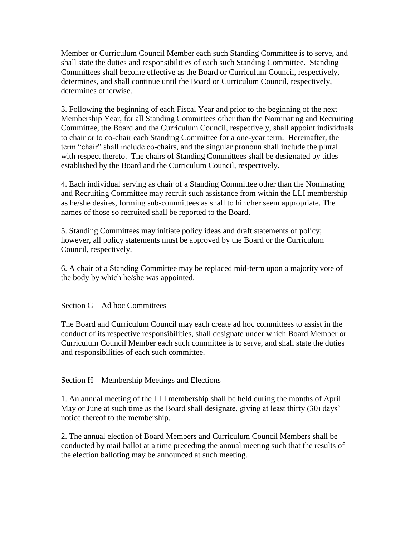Member or Curriculum Council Member each such Standing Committee is to serve, and shall state the duties and responsibilities of each such Standing Committee. Standing Committees shall become effective as the Board or Curriculum Council, respectively, determines, and shall continue until the Board or Curriculum Council, respectively, determines otherwise.

3. Following the beginning of each Fiscal Year and prior to the beginning of the next Membership Year, for all Standing Committees other than the Nominating and Recruiting Committee, the Board and the Curriculum Council, respectively, shall appoint individuals to chair or to co-chair each Standing Committee for a one-year term. Hereinafter, the term "chair" shall include co-chairs, and the singular pronoun shall include the plural with respect thereto. The chairs of Standing Committees shall be designated by titles established by the Board and the Curriculum Council, respectively.

4. Each individual serving as chair of a Standing Committee other than the Nominating and Recruiting Committee may recruit such assistance from within the LLI membership as he/she desires, forming sub-committees as shall to him/her seem appropriate. The names of those so recruited shall be reported to the Board.

5. Standing Committees may initiate policy ideas and draft statements of policy; however, all policy statements must be approved by the Board or the Curriculum Council, respectively.

6. A chair of a Standing Committee may be replaced mid-term upon a majority vote of the body by which he/she was appointed.

Section G – Ad hoc Committees

The Board and Curriculum Council may each create ad hoc committees to assist in the conduct of its respective responsibilities, shall designate under which Board Member or Curriculum Council Member each such committee is to serve, and shall state the duties and responsibilities of each such committee.

Section H – Membership Meetings and Elections

1. An annual meeting of the LLI membership shall be held during the months of April May or June at such time as the Board shall designate, giving at least thirty (30) days' notice thereof to the membership.

2. The annual election of Board Members and Curriculum Council Members shall be conducted by mail ballot at a time preceding the annual meeting such that the results of the election balloting may be announced at such meeting.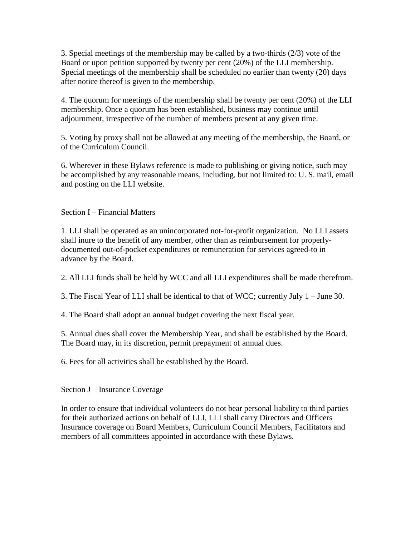3. Special meetings of the membership may be called by a two-thirds (2/3) vote of the Board or upon petition supported by twenty per cent (20%) of the LLI membership. Special meetings of the membership shall be scheduled no earlier than twenty (20) days after notice thereof is given to the membership.

4. The quorum for meetings of the membership shall be twenty per cent (20%) of the LLI membership. Once a quorum has been established, business may continue until adjournment, irrespective of the number of members present at any given time.

5. Voting by proxy shall not be allowed at any meeting of the membership, the Board, or of the Curriculum Council.

6. Wherever in these Bylaws reference is made to publishing or giving notice, such may be accomplished by any reasonable means, including, but not limited to: U. S. mail, email and posting on the LLI website.

Section I – Financial Matters

1. LLI shall be operated as an unincorporated not-for-profit organization. No LLI assets shall inure to the benefit of any member, other than as reimbursement for properlydocumented out-of-pocket expenditures or remuneration for services agreed-to in advance by the Board.

2. All LLI funds shall be held by WCC and all LLI expenditures shall be made therefrom.

3. The Fiscal Year of LLI shall be identical to that of WCC; currently July 1 – June 30.

4. The Board shall adopt an annual budget covering the next fiscal year.

5. Annual dues shall cover the Membership Year, and shall be established by the Board. The Board may, in its discretion, permit prepayment of annual dues.

6. Fees for all activities shall be established by the Board.

Section J – Insurance Coverage

In order to ensure that individual volunteers do not bear personal liability to third parties for their authorized actions on behalf of LLI, LLI shall carry Directors and Officers Insurance coverage on Board Members, Curriculum Council Members, Facilitators and members of all committees appointed in accordance with these Bylaws.